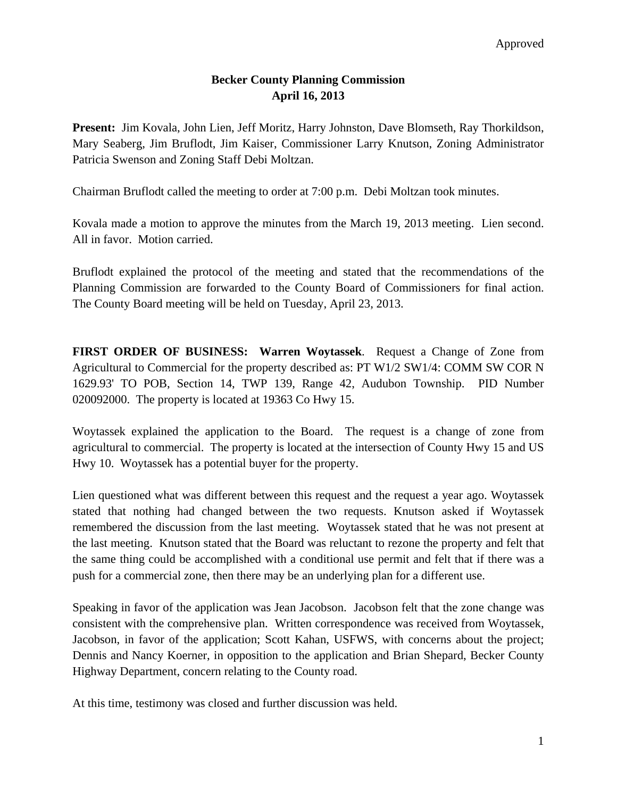## **Becker County Planning Commission April 16, 2013**

**Present:** Jim Kovala, John Lien, Jeff Moritz, Harry Johnston, Dave Blomseth, Ray Thorkildson, Mary Seaberg, Jim Bruflodt, Jim Kaiser, Commissioner Larry Knutson, Zoning Administrator Patricia Swenson and Zoning Staff Debi Moltzan.

Chairman Bruflodt called the meeting to order at 7:00 p.m. Debi Moltzan took minutes.

Kovala made a motion to approve the minutes from the March 19, 2013 meeting. Lien second. All in favor. Motion carried.

Bruflodt explained the protocol of the meeting and stated that the recommendations of the Planning Commission are forwarded to the County Board of Commissioners for final action. The County Board meeting will be held on Tuesday, April 23, 2013.

**FIRST ORDER OF BUSINESS: Warren Woytassek**. Request a Change of Zone from Agricultural to Commercial for the property described as: PT W1/2 SW1/4: COMM SW COR N 1629.93' TO POB, Section 14, TWP 139, Range 42, Audubon Township. PID Number 020092000. The property is located at 19363 Co Hwy 15.

Woytassek explained the application to the Board. The request is a change of zone from agricultural to commercial. The property is located at the intersection of County Hwy 15 and US Hwy 10. Woytassek has a potential buyer for the property.

Lien questioned what was different between this request and the request a year ago. Woytassek stated that nothing had changed between the two requests. Knutson asked if Woytassek remembered the discussion from the last meeting. Woytassek stated that he was not present at the last meeting. Knutson stated that the Board was reluctant to rezone the property and felt that the same thing could be accomplished with a conditional use permit and felt that if there was a push for a commercial zone, then there may be an underlying plan for a different use.

Speaking in favor of the application was Jean Jacobson. Jacobson felt that the zone change was consistent with the comprehensive plan. Written correspondence was received from Woytassek, Jacobson, in favor of the application; Scott Kahan, USFWS, with concerns about the project; Dennis and Nancy Koerner, in opposition to the application and Brian Shepard, Becker County Highway Department, concern relating to the County road.

At this time, testimony was closed and further discussion was held.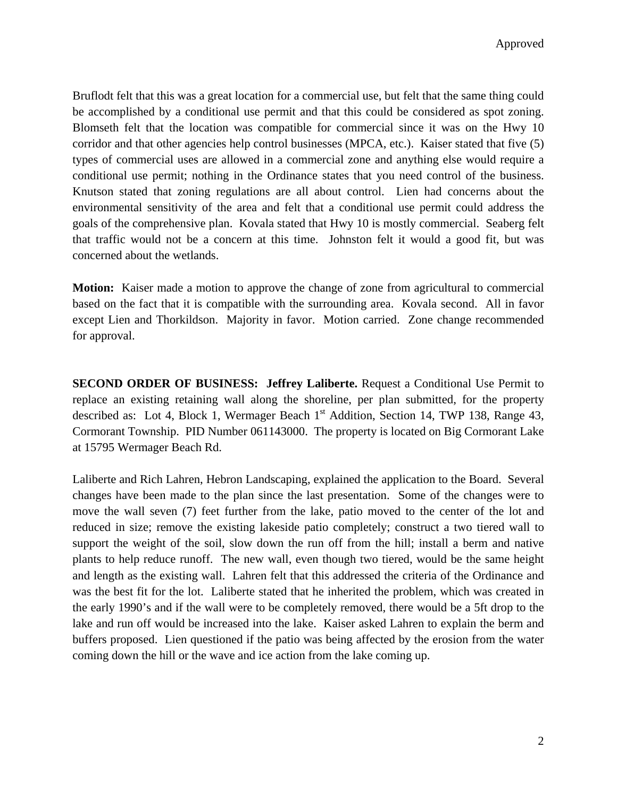Bruflodt felt that this was a great location for a commercial use, but felt that the same thing could be accomplished by a conditional use permit and that this could be considered as spot zoning. Blomseth felt that the location was compatible for commercial since it was on the Hwy 10 corridor and that other agencies help control businesses (MPCA, etc.). Kaiser stated that five (5) types of commercial uses are allowed in a commercial zone and anything else would require a conditional use permit; nothing in the Ordinance states that you need control of the business. Knutson stated that zoning regulations are all about control. Lien had concerns about the environmental sensitivity of the area and felt that a conditional use permit could address the goals of the comprehensive plan. Kovala stated that Hwy 10 is mostly commercial. Seaberg felt that traffic would not be a concern at this time. Johnston felt it would a good fit, but was concerned about the wetlands.

**Motion:** Kaiser made a motion to approve the change of zone from agricultural to commercial based on the fact that it is compatible with the surrounding area. Kovala second. All in favor except Lien and Thorkildson. Majority in favor. Motion carried. Zone change recommended for approval.

**SECOND ORDER OF BUSINESS: Jeffrey Laliberte.** Request a Conditional Use Permit to replace an existing retaining wall along the shoreline, per plan submitted, for the property described as: Lot 4, Block 1, Wermager Beach 1<sup>st</sup> Addition, Section 14, TWP 138, Range 43, Cormorant Township. PID Number 061143000. The property is located on Big Cormorant Lake at 15795 Wermager Beach Rd.

Laliberte and Rich Lahren, Hebron Landscaping, explained the application to the Board. Several changes have been made to the plan since the last presentation. Some of the changes were to move the wall seven (7) feet further from the lake, patio moved to the center of the lot and reduced in size; remove the existing lakeside patio completely; construct a two tiered wall to support the weight of the soil, slow down the run off from the hill; install a berm and native plants to help reduce runoff. The new wall, even though two tiered, would be the same height and length as the existing wall. Lahren felt that this addressed the criteria of the Ordinance and was the best fit for the lot. Laliberte stated that he inherited the problem, which was created in the early 1990's and if the wall were to be completely removed, there would be a 5ft drop to the lake and run off would be increased into the lake. Kaiser asked Lahren to explain the berm and buffers proposed. Lien questioned if the patio was being affected by the erosion from the water coming down the hill or the wave and ice action from the lake coming up.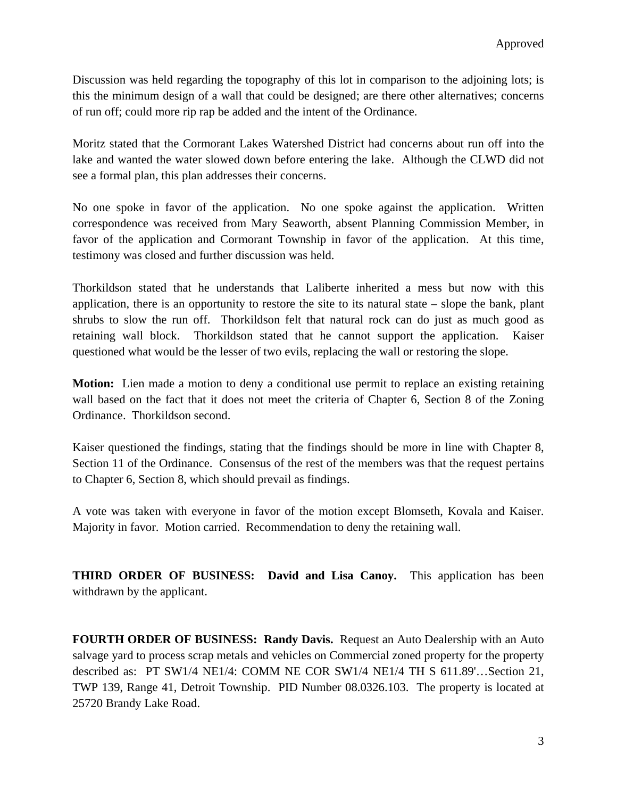Discussion was held regarding the topography of this lot in comparison to the adjoining lots; is this the minimum design of a wall that could be designed; are there other alternatives; concerns of run off; could more rip rap be added and the intent of the Ordinance.

Moritz stated that the Cormorant Lakes Watershed District had concerns about run off into the lake and wanted the water slowed down before entering the lake. Although the CLWD did not see a formal plan, this plan addresses their concerns.

No one spoke in favor of the application. No one spoke against the application. Written correspondence was received from Mary Seaworth, absent Planning Commission Member, in favor of the application and Cormorant Township in favor of the application. At this time, testimony was closed and further discussion was held.

Thorkildson stated that he understands that Laliberte inherited a mess but now with this application, there is an opportunity to restore the site to its natural state – slope the bank, plant shrubs to slow the run off. Thorkildson felt that natural rock can do just as much good as retaining wall block. Thorkildson stated that he cannot support the application. Kaiser questioned what would be the lesser of two evils, replacing the wall or restoring the slope.

**Motion:** Lien made a motion to deny a conditional use permit to replace an existing retaining wall based on the fact that it does not meet the criteria of Chapter 6, Section 8 of the Zoning Ordinance. Thorkildson second.

Kaiser questioned the findings, stating that the findings should be more in line with Chapter 8, Section 11 of the Ordinance. Consensus of the rest of the members was that the request pertains to Chapter 6, Section 8, which should prevail as findings.

A vote was taken with everyone in favor of the motion except Blomseth, Kovala and Kaiser. Majority in favor. Motion carried. Recommendation to deny the retaining wall.

**THIRD ORDER OF BUSINESS: David and Lisa Canoy.** This application has been withdrawn by the applicant.

**FOURTH ORDER OF BUSINESS: Randy Davis.** Request an Auto Dealership with an Auto salvage yard to process scrap metals and vehicles on Commercial zoned property for the property described as: PT SW1/4 NE1/4: COMM NE COR SW1/4 NE1/4 TH S 611.89'…Section 21, TWP 139, Range 41, Detroit Township. PID Number 08.0326.103. The property is located at 25720 Brandy Lake Road.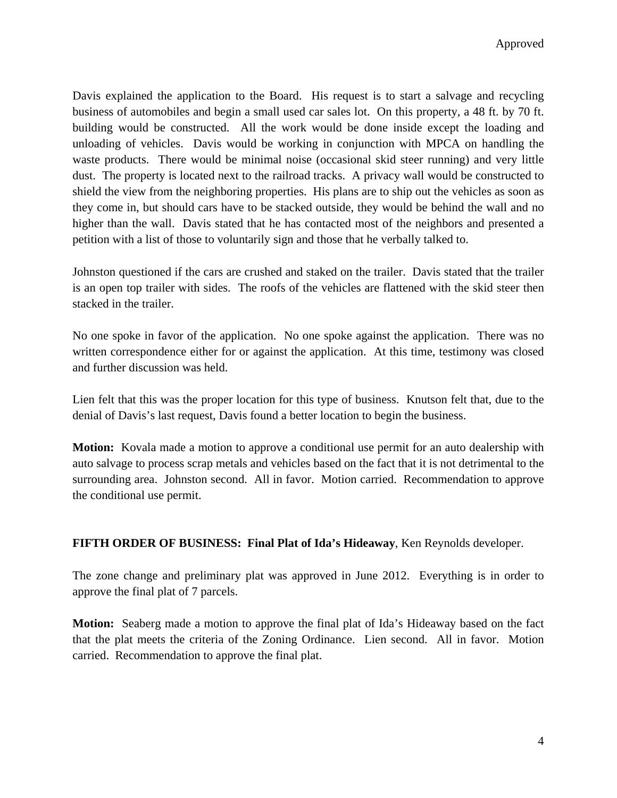Davis explained the application to the Board. His request is to start a salvage and recycling business of automobiles and begin a small used car sales lot. On this property, a 48 ft. by 70 ft. building would be constructed. All the work would be done inside except the loading and unloading of vehicles. Davis would be working in conjunction with MPCA on handling the waste products. There would be minimal noise (occasional skid steer running) and very little dust. The property is located next to the railroad tracks. A privacy wall would be constructed to shield the view from the neighboring properties. His plans are to ship out the vehicles as soon as they come in, but should cars have to be stacked outside, they would be behind the wall and no higher than the wall. Davis stated that he has contacted most of the neighbors and presented a petition with a list of those to voluntarily sign and those that he verbally talked to.

Johnston questioned if the cars are crushed and staked on the trailer. Davis stated that the trailer is an open top trailer with sides. The roofs of the vehicles are flattened with the skid steer then stacked in the trailer.

No one spoke in favor of the application. No one spoke against the application. There was no written correspondence either for or against the application. At this time, testimony was closed and further discussion was held.

Lien felt that this was the proper location for this type of business. Knutson felt that, due to the denial of Davis's last request, Davis found a better location to begin the business.

**Motion:** Kovala made a motion to approve a conditional use permit for an auto dealership with auto salvage to process scrap metals and vehicles based on the fact that it is not detrimental to the surrounding area. Johnston second. All in favor. Motion carried. Recommendation to approve the conditional use permit.

**FIFTH ORDER OF BUSINESS: Final Plat of Ida's Hideaway**, Ken Reynolds developer.

The zone change and preliminary plat was approved in June 2012. Everything is in order to approve the final plat of 7 parcels.

**Motion:** Seaberg made a motion to approve the final plat of Ida's Hideaway based on the fact that the plat meets the criteria of the Zoning Ordinance. Lien second. All in favor. Motion carried. Recommendation to approve the final plat.